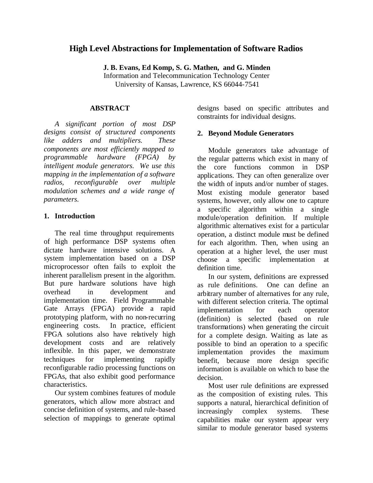# **High Level Abstractions for Implementation of Software Radios**

**J. B. Evans, Ed Komp, S. G. Mathen, and G. Minden**

Information and Telecommunication Technology Center University of Kansas, Lawrence, KS 66044-7541

## **ABSTRACT**

*A significant portion of most DSP designs consist of structured components like adders and multipliers. These components are most efficiently mapped to programmable hardware (FPGA) by intelligent module generators. We use this mapping in the implementation of a software radios, reconfigurable over multiple modulation schemes and a wide range of parameters.*

## **1. Introduction**

The real time throughput requirements of high performance DSP systems often dictate hardware intensive solutions. A system implementation based on a DSP microprocessor often fails to exploit the inherent parallelism present in the algorithm. But pure hardware solutions have high overhead in development and implementation time. Field Programmable Gate Arrays (FPGA) provide a rapid prototyping platform, with no non-recurring engineering costs. In practice, efficient FPGA solutions also have relatively high development costs and are relatively inflexible. In this paper, we demonstrate techniques for implementing rapidly reconfigurable radio processing functions on FPGAs, that also exhibit good performance characteristics.

Our system combines features of module generators, which allow more abstract and concise definition of systems, and rule-based selection of mappings to generate optimal

designs based on specific attributes and constraints for individual designs.

## **2. Beyond Module Generators**

Module generators take advantage of the regular patterns which exist in many of the core functions common in DSP applications. They can often generalize over the width of inputs and/or number of stages. Most existing module generator based systems, however, only allow one to capture a specific algorithm within a single module/operation definition. If multiple algorithmic alternatives exist for a particular operation, a distinct module must be defined for each algorithm. Then, when using an operation at a higher level, the user must choose a specific implementation at definition time.

In our system, definitions are expressed as rule definitions. One can define an arbitrary number of alternatives for any rule, with different selection criteria. The optimal implementation for each operator (definition) is selected (based on rule transformations) when generating the circuit for a complete design. Waiting as late as possible to bind an operation to a specific implementation provides the maximum benefit, because more design specific information is available on which to base the decision.

Most user rule definitions are expressed as the composition of existing rules. This supports a natural, hierarchical definition of increasingly complex systems. These capabilities make our system appear very similar to module generator based systems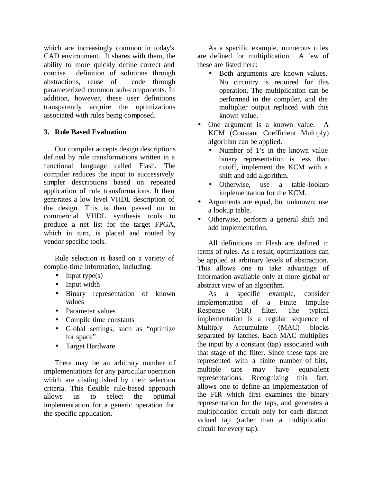which are increasingly common in today's CAD environment. It shares with them, the ability to more quickly define correct and concise definition of solutions through abstractions, reuse of code through parameterized common sub-components. In addition, however, these user definitions transparently acquire the optimizations associated with rules being composed.

## **3. Rule Based Evaluation**

Our compiler accepts design descriptions defined by rule transformations written in a functional language called Flash. The compiler reduces the input to successively simpler descriptions based on repeated application of rule transformations. It then generates a low level VHDL description of the design. This is then passed on to commercial VHDL synthesis tools to produce a net list for the target FPGA, which in turn, is placed and routed by vendor specific tools.

Rule selection is based on a variety of compile-time information, including:

- Input type $(s)$
- Input width
- Binary representation of known values
- Parameter values
- Compile time constants
- Global settings, such as "optimize for space"
- Target Hardware

There may be an arbitrary number of implementations for any particular operation which are distinguished by their selection criteria. This flexible rule-based approach allows us to select the optimal implementation for a generic operation for the specific application.

As a specific example, numerous rules are defined for multiplication. A few of these are listed here:

- Both arguments are known values. No circuitry is required for this operation. The multiplication can be performed in the compiler, and the multiplier output replaced with this known value.
- One argument is a known value. A KCM (Constant Coefficient Multiply) algorithm can be applied.
	- Number of 1's in the known value binary representation is less than cutoff, implement the KCM with a shift and add algorithm.
	- Otherwise, use a table-lookup implementation for the KCM.
- Arguments are equal, but unknown; use a lookup table.
- Otherwise, perform a general shift and add implementation.

All definitions in Flash are defined in terms of rules. As a result, optimizations can be applied at arbitrary levels of abstraction. This allows one to take advantage of information available only at more global or abstract view of an algorithm.

As a specific example, consider implementation of a Finite Impulse Response (FIR) filter. The typical implementation is a regular sequence of Multiply Accumulate (MAC) blocks separated by latches. Each MAC multiplies the input by a constant (tap) associated with that stage of the filter. Since these taps are represented with a finite number of bits, multiple taps may have equivalent representations. Recognizing this fact, allows one to define an implementation of the FIR which first examines the binary representation for the taps, and generates a multiplication circuit only for each distinct valued tap (rather than a multiplication circuit for every tap).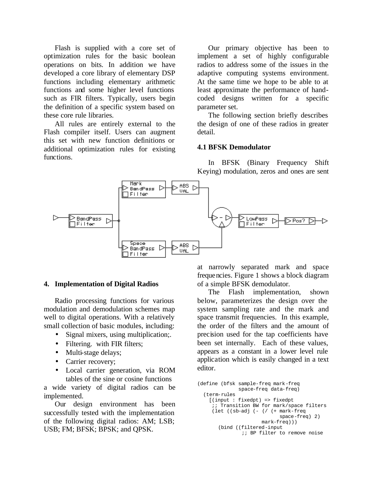Flash is supplied with a core set of optimization rules for the basic boolean operations on bits. In addition we have developed a core library of elementary DSP functions including elementary arithmetic functions and some higher level functions such as FIR filters. Typically, users begin the definition of a specific system based on these core rule libraries.

All rules are entirely external to the Flash compiler itself. Users can augment this set with new function definitions or additional optimization rules for existing functions.

Our primary objective has been to implement a set of highly configurable radios to address some of the issues in the adaptive computing systems environment. At the same time we hope to be able to at least approximate the performance of handcoded designs written for a specific parameter set.

The following section briefly describes the design of one of these radios in greater detail.

### **4.1 BFSK Demodulator**

In BFSK (Binary Frequency Shift Keying) modulation, zeros and ones are sent



#### **4. Implementation of Digital Radios**

Radio processing functions for various modulation and demodulation schemes map well to digital operations. With a relatively small collection of basic modules, including:

- Signal mixers, using multiplication;.
- Filtering. with FIR filters;
- Multi-stage delays;
- Carrier recovery;
- Local carrier generation, via ROM tables of the sine or cosine functions

a wide variety of digital radios can be implemented.

Our design environment has been successfully tested with the implementation of the following digital radios: AM; LSB; USB; FM; BFSK; BPSK; and QPSK.

at narrowly separated mark and space frequencies. Figure 1 shows a block diagram of a simple BFSK demodulator.

The Flash implementation, shown below, parameterizes the design over the system sampling rate and the mark and space transmit frequencies. In this example, the order of the filters and the amount of precision used for the tap coefficients have been set internally. Each of these values, appears as a constant in a lower level rule application which is easily changed in a text editor.

```
(define (bfsk sample-freq mark-freq
              space-freq data-freq)
  (term-rules
   [(input : fixedpt) => fixedpt
     ;; Transition BW for mark/space filters
     (let ((sb-adj (- (/ (+ mark-freq
                             space-freq) 2)
                      mark-freq)))
       (bind ((filtered-input
                ;; BP filter to remove noise
```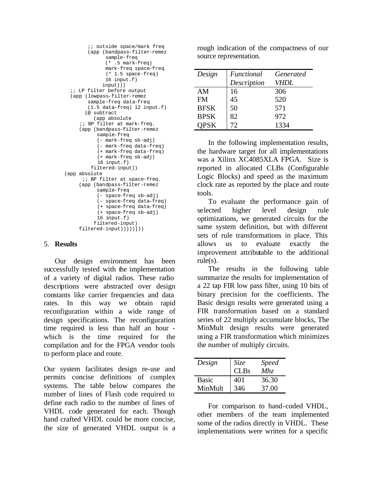```
 ;; outside space/mark freq
        (app (bandpass-filter-remez
              sample-freq
              (* .5 mark-freq)
              mark-freq space-freq
              (* 1.5 space-freq)
              16 input.f)
             input)))
  ;; LP filter before output
  (app (lowpass-filter-remez
        sample-freq data-freq
        (1.5 data-freq) 12 input.f)
       (@ subtract
          (app absolute
     ;; BP filter at mark-freq.
     (app (bandpass-filter-remez
           sample-freq
           (- mark-freq sb-adj)
           (- mark-freq data-freq)
           (+ mark-freq data-freq)
           (+ mark-freq sb-adj)
           16 input.f) 
         filtered-input))
(app absolute
     ;; BP filter at space-freq.
     (app (bandpass-filter-remez
           sample-freq
           (- space-freq sb-adj)
           (- space-freq data-freq)
           (+ space-freq data-freq)
           (+ space-freq sb-adj)
           16 input.f)
          filtered-input)
     filtered-input)))))]))
```
## 5. **Results**

Our design environment has been successfully tested with the implementation of a variety of digital radios. These radio descriptions were abstracted over design constants like carrier frequencies and data rates. In this way we obtain rapid reconfiguration within a wide range of design specifications. The reconfiguration time required is less than half an hour which is the time required for the compilation and for the FPGA vendor tools to perform place and route.

Our system facilitates design re-use and permits concise definitions of complex systems. The table below compares the number of lines of Flash code required to define each radio to the number of lines of VHDL code generated for each. Though hand crafted VHDL could be more concise, the size of generated VHDL output is a

rough indication of the compactness of our source representation.

| Design      | Functional  | Generated   |
|-------------|-------------|-------------|
|             | Description | <b>VHDL</b> |
| AM          | 16          | 306         |
| <b>FM</b>   | 45          | 520         |
| <b>BFSK</b> | 50          | 571         |
| <b>BPSK</b> | 82          | 972         |
| <b>OPSK</b> | 72          | 1334        |

In the following implementation results, the hardware target for all implementations was a Xilinx XC4085XLA FPGA. Size is reported in allocated CLBs (Configurable Logic Blocks) and speed as the maximum clock rate as reported by the place and route tools.

To evaluate the performance gain of selected higher level design rule optimizations, we generated circuits for the same system definition, but with different sets of rule transformations in place. This allows us to evaluate exactly the improvement attributable to the additional rule(s).

The results in the following table summarize the results for implementation of a 22 tap FIR low pass filter, using 10 bits of binary precision for the coefficients. The Basic design results were generated using a FIR transformation based on a standard series of 22 multiply accumulate blocks, The MinMult design results were generated using a FIR transformation which minimizes the number of multiply circuits.

| Design       | <i>Size</i> | <i>Speed</i> |
|--------------|-------------|--------------|
|              | <b>CLBs</b> | Mhz          |
| <b>Basic</b> | 401         | 36.30        |
| MinMult      | 346         | 37.00        |

For comparison to hand-coded VHDL, other members of the team implemented some of the radios directly in VHDL. These implementations were written for a specific